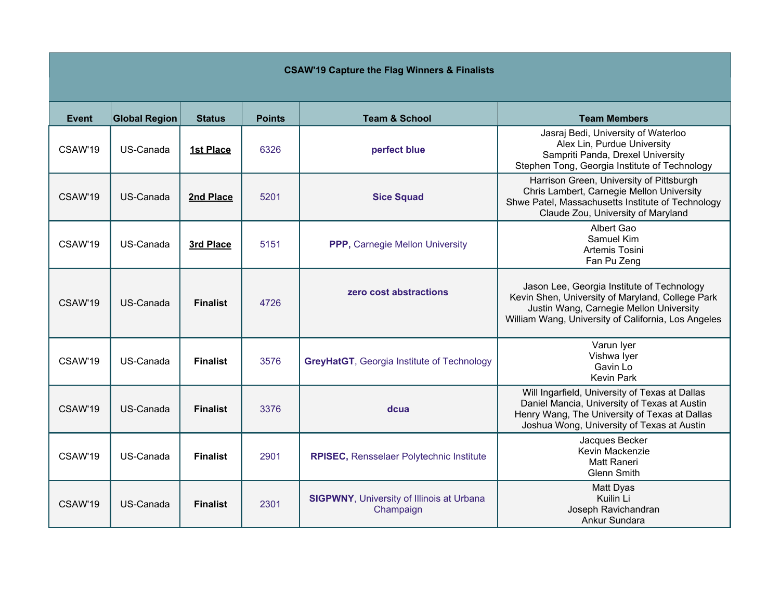## **CSAW'19 Capture the Flag Winners & Finalists**

| Event   | <b>Global Region</b> | <b>Status</b>   | <b>Points</b> | <b>Team &amp; School</b>                                      | <b>Team Members</b>                                                                                                                                                                              |
|---------|----------------------|-----------------|---------------|---------------------------------------------------------------|--------------------------------------------------------------------------------------------------------------------------------------------------------------------------------------------------|
| CSAW'19 | US-Canada            | 1st Place       | 6326          | perfect blue                                                  | Jasraj Bedi, University of Waterloo<br>Alex Lin, Purdue University<br>Sampriti Panda, Drexel University<br>Stephen Tong, Georgia Institute of Technology                                         |
| CSAW'19 | US-Canada            | 2nd Place       | 5201          | <b>Sice Squad</b>                                             | Harrison Green, University of Pittsburgh<br>Chris Lambert, Carnegie Mellon University<br>Shwe Patel, Massachusetts Institute of Technology<br>Claude Zou, University of Maryland                 |
| CSAW'19 | US-Canada            | 3rd Place       | 5151          | PPP, Carnegie Mellon University                               | Albert Gao<br>Samuel Kim<br>Artemis Tosini<br>Fan Pu Zeng                                                                                                                                        |
| CSAW'19 | US-Canada            | <b>Finalist</b> | 4726          | zero cost abstractions                                        | Jason Lee, Georgia Institute of Technology<br>Kevin Shen, University of Maryland, College Park<br>Justin Wang, Carnegie Mellon University<br>William Wang, University of California, Los Angeles |
| CSAW'19 | US-Canada            | <b>Finalist</b> | 3576          | <b>GreyHatGT, Georgia Institute of Technology</b>             | Varun Iyer<br>Vishwa Iyer<br>Gavin Lo<br><b>Kevin Park</b>                                                                                                                                       |
| CSAW'19 | US-Canada            | <b>Finalist</b> | 3376          | dcua                                                          | Will Ingarfield, University of Texas at Dallas<br>Daniel Mancia, University of Texas at Austin<br>Henry Wang, The University of Texas at Dallas<br>Joshua Wong, University of Texas at Austin    |
| CSAW'19 | US-Canada            | <b>Finalist</b> | 2901          | <b>RPISEC, Rensselaer Polytechnic Institute</b>               | Jacques Becker<br>Kevin Mackenzie<br><b>Matt Raneri</b><br><b>Glenn Smith</b>                                                                                                                    |
| CSAW'19 | US-Canada            | <b>Finalist</b> | 2301          | <b>SIGPWNY, University of Illinois at Urbana</b><br>Champaign | Matt Dyas<br>Kuilin Li<br>Joseph Ravichandran<br>Ankur Sundara                                                                                                                                   |